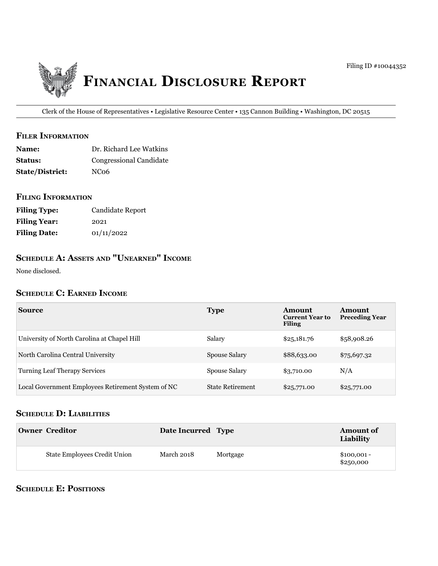

Clerk of the House of Representatives • Legislative Resource Center • 135 Cannon Building • Washington, DC 20515

#### **filer information**

| <b>Name:</b>           | Dr. Richard Lee Watkins        |
|------------------------|--------------------------------|
| <b>Status:</b>         | <b>Congressional Candidate</b> |
| <b>State/District:</b> | NC <sub>06</sub>               |

### **filing information**

| <b>Filing Type:</b> | Candidate Report |
|---------------------|------------------|
| <b>Filing Year:</b> | 2021             |
| <b>Filing Date:</b> | 01/11/2022       |

# **SCHEDULE A: ASSETS AND "UNEARNED" INCOME**

None disclosed.

### **SCHEDULE C: EARNED INCOME**

| Source                                             | <b>Type</b>             | Amount<br><b>Current Year to</b><br><b>Filing</b> | Amount<br><b>Preceding Year</b> |
|----------------------------------------------------|-------------------------|---------------------------------------------------|---------------------------------|
| University of North Carolina at Chapel Hill        | Salary                  | \$25,181.76                                       | \$58,908.26                     |
| North Carolina Central University                  | Spouse Salary           | \$88,633.00                                       | \$75,697.32                     |
| <b>Turning Leaf Therapy Services</b>               | Spouse Salary           | \$3,710.00                                        | N/A                             |
| Local Government Employees Retirement System of NC | <b>State Retirement</b> | \$25,771.00                                       | \$25,771.00                     |

# **SCHEDULE D: LIABILITIES**

| <b>Owner Creditor</b>               | Date Incurred Type |          | <b>Amount of</b><br>Liability |
|-------------------------------------|--------------------|----------|-------------------------------|
| <b>State Employees Credit Union</b> | March 2018         | Mortgage | $$100,001 -$<br>\$250,000     |

# **SCHEDULE E: POSITIONS**